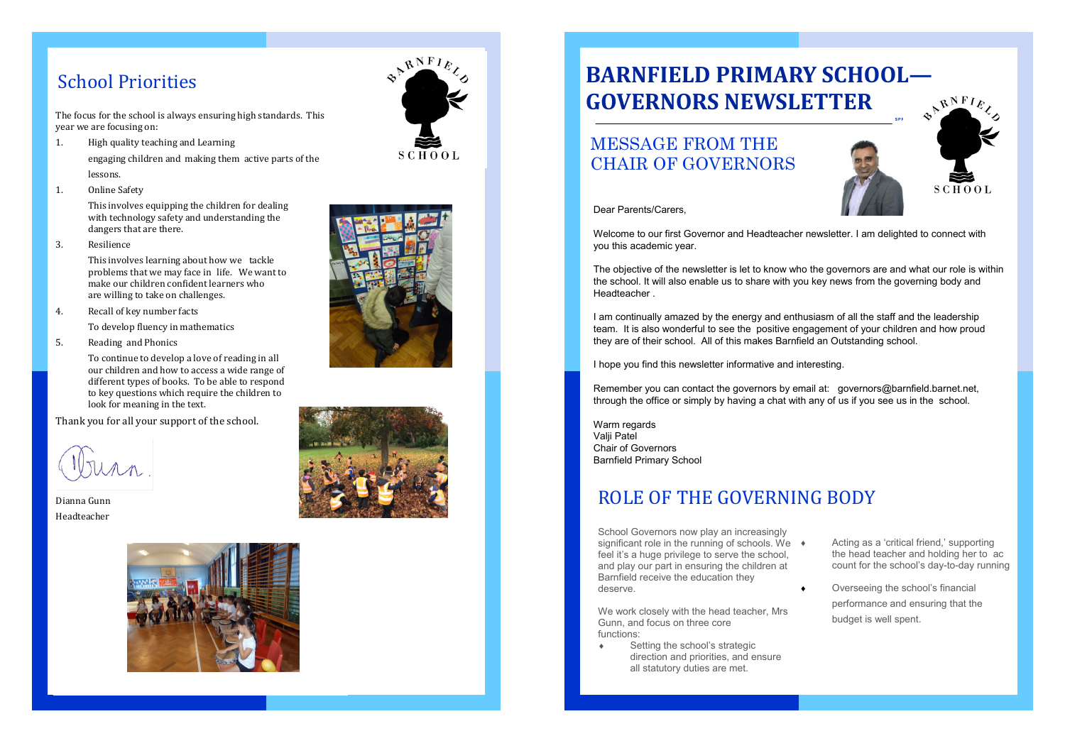The focus for the school is always ensuring high standards. This year we are focusing on:

- 1. High quality teaching and Learning engaging children and making them active parts of the lessons.
- 1. Online Safety

This involves equipping the children for dealing with technology safety and understanding the dangers that are there.

3. Resilience

This involves learning about how we tackle problems that we may face in life. We want to make our children confident learners who are willing to take on challenges.

- 4. Recall of key number facts
	- To develop fluency in mathematics
- 5. Reading and Phonics

To continue to develop a love of reading in all our children and how to access a wide range of different types of books. To be able to respond to key questions which require the children to look for meaning in the text.

Thank you for all your support of the school.

Dianna Gunn Headteacher









#### School Priorities

School Governors now play an increasingly significant role in the running of schools. We  $\rightarrow$ feel it's a huge privilege to serve the school, and play our part in ensuring the children at Barnfield receive the education they deserve.

We work closely with the head teacher, Mrs Gunn, and focus on three core functions:

Remember you can contact the governors by email at: governors@barnfield.barnet.net, through the office or simply by having a chat with any of us if you see us in the school.

 Setting the school's strategic direction and priorities, and ensure all statutory duties are met.

Warm regards Valii Patel Chair of Governors Barnfield Primary School

- Acting as a 'critical friend,' supporting the head teacher and holding her to ac count for the school's day -to -day running
- ◆ Overseeing the school's financial performance and ensuring that the budget is well spent.

## ROLE OF THE GOVERNING BODY

# **BARNFIELD PRIMARY SCHOOL — GOVERNORS NEWSLETTER**

#### MESSAGE FROM THE CHAIR OF GOVERNORS



Dear Parents/Carers,

Welcome to our first Governor and Headteacher newsletter. I am delighted to connect with you this academic year.

The objective of the newsletter is let to know who the governors are and what our role is within the school. It will also enable us to share with you key news from the governing body and Headteacher .

I am continually amazed by the energy and enthusiasm of all the staff and the leadership team. It is also wonderful to see the positive engagement of your children and how proud they are of their school. All of this makes Barnfield an Outstanding school.

I hope you find this newsletter informative and interesting.